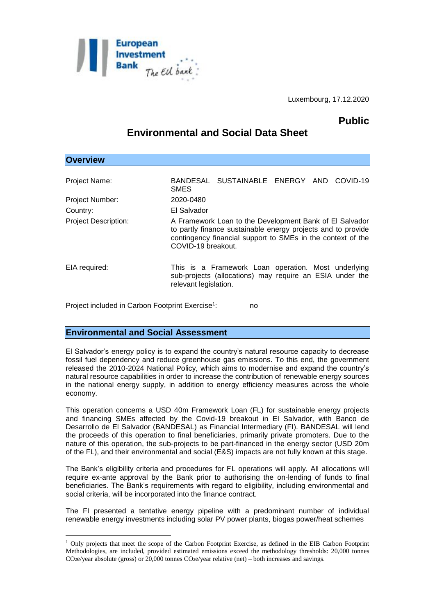

## **Public**

# **Environmental and Social Data Sheet**

| <b>Overview</b>             |                                                                                                                                                                                                              |
|-----------------------------|--------------------------------------------------------------------------------------------------------------------------------------------------------------------------------------------------------------|
| Project Name:               | BANDESAL SUSTAINABLE ENERGY AND COVID-19<br><b>SMES</b>                                                                                                                                                      |
| Project Number:             | 2020-0480                                                                                                                                                                                                    |
| Country:                    | El Salvador                                                                                                                                                                                                  |
| <b>Project Description:</b> | A Framework Loan to the Development Bank of El Salvador<br>to partly finance sustainable energy projects and to provide<br>contingency financial support to SMEs in the context of the<br>COVID-19 breakout. |
| EIA required:               | This is a Framework Loan operation. Most underlying<br>sub-projects (allocations) may require an ESIA under the<br>relevant legislation.                                                                     |

Project included in Carbon Footprint Exercise<sup>1</sup>: : no

### **Environmental and Social Assessment**

1

El Salvador's energy policy is to expand the country's natural resource capacity to decrease fossil fuel dependency and reduce greenhouse gas emissions. To this end, the government released the 2010-2024 National Policy, which aims to modernise and expand the country's natural resource capabilities in order to increase the contribution of renewable energy sources in the national energy supply, in addition to energy efficiency measures across the whole economy.

This operation concerns a USD 40m Framework Loan (FL) for sustainable energy projects and financing SMEs affected by the Covid-19 breakout in El Salvador, with Banco de Desarrollo de El Salvador (BANDESAL) as Financial Intermediary (FI). BANDESAL will lend the proceeds of this operation to final beneficiaries, primarily private promoters. Due to the nature of this operation, the sub-projects to be part-financed in the energy sector (USD 20m of the FL), and their environmental and social (E&S) impacts are not fully known at this stage.

The Bank's eligibility criteria and procedures for FL operations will apply. All allocations will require ex-ante approval by the Bank prior to authorising the on-lending of funds to final beneficiaries. The Bank's requirements with regard to eligibility, including environmental and social criteria, will be incorporated into the finance contract.

The FI presented a tentative energy pipeline with a predominant number of individual renewable energy investments including solar PV power plants, biogas power/heat schemes

<sup>1</sup> Only projects that meet the scope of the Carbon Footprint Exercise, as defined in the EIB Carbon Footprint Methodologies, are included, provided estimated emissions exceed the methodology thresholds: 20,000 tonnes  $CO<sub>2</sub>e/year$  absolute (gross) or 20,000 tonnes  $CO<sub>2</sub>e/year$  relative (net) – both increases and savings.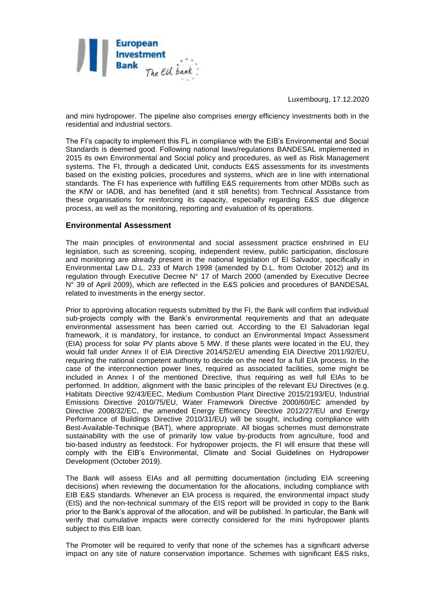

and mini hydropower. The pipeline also comprises energy efficiency investments both in the residential and industrial sectors.

The FI's capacity to implement this FL in compliance with the EIB's Environmental and Social Standards is deemed good. Following national laws/regulations BANDESAL implemented in 2015 its own Environmental and Social policy and procedures, as well as Risk Management systems. The FI, through a dedicated Unit, conducts E&S assessments for its investments based on the existing policies, procedures and systems, which are in line with international standards. The FI has experience with fulfilling E&S requirements from other MDBs such as the KfW or IADB, and has benefited (and it still benefits) from Technical Assistance from these organisations for reinforcing its capacity, especially regarding E&S due diligence process, as well as the monitoring, reporting and evaluation of its operations.

#### **Environmental Assessment**

The main principles of environmental and social assessment practice enshrined in EU legislation, such as screening, scoping, independent review, public participation, disclosure and monitoring are already present in the national legislation of El Salvador, specifically in Environmental Law D.L. 233 of March 1998 (amended by D.L. from October 2012) and its regulation through Executive Decree N° 17 of March 2000 (amended by Executive Decree N° 39 of April 2009), which are reflected in the E&S policies and procedures of BANDESAL related to investments in the energy sector.

Prior to approving allocation requests submitted by the FI, the Bank will confirm that individual sub-projects comply with the Bank's environmental requirements and that an adequate environmental assessment has been carried out. According to the El Salvadorian legal framework, it is mandatory, for instance, to conduct an Environmental Impact Assessment (EIA) process for solar PV plants above 5 MW. If these plants were located in the EU, they would fall under Annex II of EIA Directive 2014/52/EU amending EIA Directive 2011/92/EU, requiring the national competent authority to decide on the need for a full EIA process. In the case of the interconnection power lines, required as associated facilities, some might be included in Annex I of the mentioned Directive, thus requiring as well full EIAs to be performed. In addition, alignment with the basic principles of the relevant EU Directives (e.g. Habitats Directive 92/43/EEC, Medium Combustion Plant Directive 2015/2193/EU, Industrial Emissions Directive 2010/75/EU, Water Framework Directive 2000/60/EC amended by Directive 2008/32/EC, the amended Energy Efficiency Directive 2012/27/EU and Energy Performance of Buildings Directive 2010/31/EU) will be sought, including compliance with Best-Available-Technique (BAT), where appropriate. All biogas schemes must demonstrate sustainability with the use of primarily low value by-products from agriculture, food and bio-based industry as feedstock. For hydropower projects, the FI will ensure that these will comply with the EIB's Environmental, Climate and Social Guidelines on Hydropower Development (October 2019).

The Bank will assess EIAs and all permitting documentation (including EIA screening decisions) when reviewing the documentation for the allocations, including compliance with EIB E&S standards. Whenever an EIA process is required, the environmental impact study (EIS) and the non-technical summary of the EIS report will be provided in copy to the Bank prior to the Bank's approval of the allocation, and will be published. In particular, the Bank will verify that cumulative impacts were correctly considered for the mini hydropower plants subject to this EIB loan.

The Promoter will be required to verify that none of the schemes has a significant adverse impact on any site of nature conservation importance. Schemes with significant E&S risks,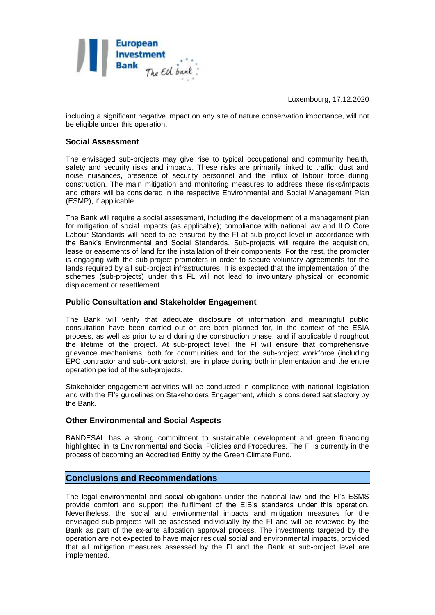

including a significant negative impact on any site of nature conservation importance, will not be eligible under this operation.

#### **Social Assessment**

The envisaged sub-projects may give rise to typical occupational and community health, safety and security risks and impacts. These risks are primarily linked to traffic, dust and noise nuisances, presence of security personnel and the influx of labour force during construction. The main mitigation and monitoring measures to address these risks/impacts and others will be considered in the respective Environmental and Social Management Plan (ESMP), if applicable.

The Bank will require a social assessment, including the development of a management plan for mitigation of social impacts (as applicable); compliance with national law and ILO Core Labour Standards will need to be ensured by the FI at sub-project level in accordance with the Bank's Environmental and Social Standards. Sub-projects will require the acquisition, lease or easements of land for the installation of their components. For the rest, the promoter is engaging with the sub-project promoters in order to secure voluntary agreements for the lands required by all sub-project infrastructures. It is expected that the implementation of the schemes (sub-projects) under this FL will not lead to involuntary physical or economic displacement or resettlement.

#### **Public Consultation and Stakeholder Engagement**

The Bank will verify that adequate disclosure of information and meaningful public consultation have been carried out or are both planned for, in the context of the ESIA process, as well as prior to and during the construction phase, and if applicable throughout the lifetime of the project. At sub-project level, the FI will ensure that comprehensive grievance mechanisms, both for communities and for the sub-project workforce (including EPC contractor and sub-contractors), are in place during both implementation and the entire operation period of the sub-projects.

Stakeholder engagement activities will be conducted in compliance with national legislation and with the FI's guidelines on Stakeholders Engagement, which is considered satisfactory by the Bank.

#### **Other Environmental and Social Aspects**

BANDESAL has a strong commitment to sustainable development and green financing highlighted in its Environmental and Social Policies and Procedures. The FI is currently in the process of becoming an Accredited Entity by the Green Climate Fund.

#### **Conclusions and Recommendations**

The legal environmental and social obligations under the national law and the FI's ESMS provide comfort and support the fulfilment of the EIB's standards under this operation. Nevertheless, the social and environmental impacts and mitigation measures for the envisaged sub-projects will be assessed individually by the FI and will be reviewed by the Bank as part of the ex-ante allocation approval process. The investments targeted by the operation are not expected to have major residual social and environmental impacts, provided that all mitigation measures assessed by the FI and the Bank at sub-project level are implemented.